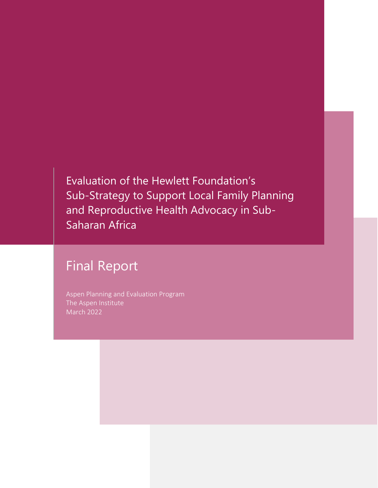Evaluation of the Hewlett Foundation's Sub-Strategy to Support Local Family Planning and Reproductive Health Advocacy in Sub-Saharan Africa

# Final Report

Aspen Planning and Evaluation Program The Aspen Institute March 2022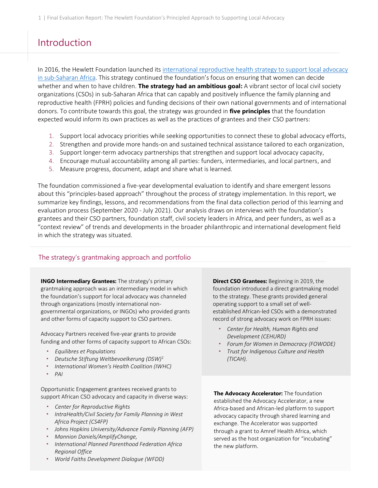## Introduction

In 2016, the Hewlett Foundation launched its [international reproductive health strategy to support local advocacy](https://hewlett.org/wp-content/uploads/2016/11/Supporting-Local-Advocacy-in-Sub-Saharan-Africa.pdf)  [in sub-Saharan Africa.](https://hewlett.org/wp-content/uploads/2016/11/Supporting-Local-Advocacy-in-Sub-Saharan-Africa.pdf) This strategy continued the foundation's focus on ensuring that women can decide whether and when to have children. **The strategy had an ambitious goal:** A vibrant sector of local civil society organizations (CSOs) in sub-Saharan Africa that can capably and positively influence the family planning and reproductive health (FPRH) policies and funding decisions of their own national governments and of international donors. To contribute towards this goal, the strategy was grounded in **five principles** that the foundation expected would inform its own practices as well as the practices of grantees and their CSO partners:

- 1. Support local advocacy priorities while seeking opportunities to connect these to global advocacy efforts,
- 2. Strengthen and provide more hands-on and sustained technical assistance tailored to each organization,
- 3. Support longer-term advocacy partnerships that strengthen and support local advocacy capacity,
- 4. Encourage mutual accountability among all parties: funders, intermediaries, and local partners, and
- 5. Measure progress, document, adapt and share what is learned.

The foundation commissioned a five-year developmental evaluation to identify and share emergent lessons about this "principles-based approach" throughout the process of strategy implementation. In this report, we summarize key findings, lessons, and recommendations from the final data collection period of this learning and evaluation process (September 2020 - July 2021). Our analysis draws on interviews with the foundation's grantees and their CSO partners, foundation staff, civil society leaders in Africa, and peer funders, as well as a "context review" of trends and developments in the broader philanthropic and international development field in which the strategy was situated.

#### The strategy's grantmaking approach and portfolio

**INGO Intermediary Grantees:** The strategy's primary grantmaking approach was an intermediary model in which the foundation's support for local advocacy was channeled through organizations (mostly international nongovernmental organizations, or INGOs) who provided grants and other forms of capacity support to CSO partners.

Advocacy Partners received five-year grants to provide funding and other forms of capacity support to African CSOs:

- *Equilibres et Populations*
- *Deutsche Stiftung Weltbevoelkerung (DSW)<sup>1</sup>*
- *International Women's Health Coalition (IWHC)*
- *PAI*

Opportunistic Engagement grantees received grants to support African CSO advocacy and capacity in diverse ways:

- *Center for Reproductive Rights*
- *IntraHealth/Civil Society for Family Planning in West Africa Project (CS4FP)*
- *Johns Hopkins University/Advance Family Planning (AFP)*
- *Mannion Daniels/AmplifyChange,*
- *International Planned Parenthood Federation Africa Regional Office*
- *World Faiths Development Dialogue (WFDD)*

**Direct CSO Grantees:** Beginning in 2019, the foundation introduced a direct grantmaking model to the strategy. These grants provided general operating support to a small set of wellestablished African-led CSOs with a demonstrated record of strong advocacy work on FPRH issues:

- *Center for Health, Human Rights and Development (CEHURD)*
- *Forum for Women in Democracy (FOWODE)*
- *Trust for Indigenous Culture and Health (TICAH).*

**The Advocacy Accelerator:** The foundation established the Advocacy Accelerator, a new Africa-based and African-led platform to support advocacy capacity through shared learning and exchange. The Accelerator was supported through a grant to Amref Health Africa, which served as the host organization for "incubating" the new platform.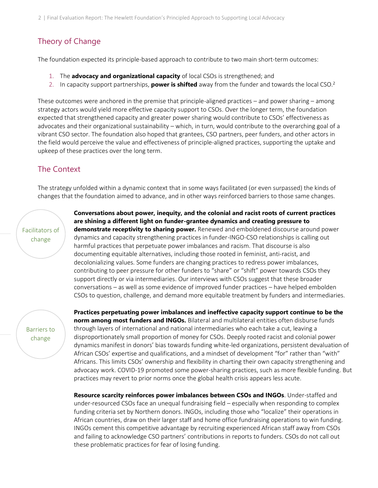### Theory of Change

The foundation expected its principle-based approach to contribute to two main short-term outcomes:

- 1. The **advocacy and organizational capacity** of local CSOs is strengthened; and
- 2. In capacity support partnerships, **power is shifted** away from the funder and towards the local CSO.<sup>2</sup>

These outcomes were anchored in the premise that principle-aligned practices – and power sharing – among strategy actors would yield more effective capacity support to CSOs. Over the longer term, the foundation expected that strengthened capacity and greater power sharing would contribute to CSOs' effectiveness as advocates and their organizational sustainability – which, in turn, would contribute to the overarching goal of a vibrant CSO sector. The foundation also hoped that grantees, CSO partners, peer funders, and other actors in the field would perceive the value and effectiveness of principle-aligned practices, supporting the uptake and upkeep of these practices over the long term.

### The Context

The strategy unfolded within a dynamic context that in some ways facilitated (or even surpassed) the kinds of changes that the foundation aimed to advance, and in other ways reinforced barriers to those same changes.

### Facilitators of change

**Conversations about power, inequity, and the colonial and racist roots of current practices are shining a different light on funder-grantee dynamics and creating pressure to demonstrate receptivity to sharing power.** Renewed and emboldened discourse around power dynamics and capacity strengthening practices in funder-INGO-CSO relationships is calling out harmful practices that perpetuate power imbalances and racism. That discourse is also documenting equitable alternatives, including those rooted in feminist, anti-racist, and decolonializing values. Some funders are changing practices to redress power imbalances, contributing to peer pressure for other funders to "share" or "shift" power towards CSOs they support directly or via intermediaries. Our interviews with CSOs suggest that these broader conversations – as well as some evidence of improved funder practices – have helped embolden CSOs to question, challenge, and demand more equitable treatment by funders and intermediaries.

Barriers to change

**Practices perpetuating power imbalances and ineffective capacity support continue to be the norm among most funders and INGOs.** Bilateral and multilateral entities often disburse funds through layers of international and national intermediaries who each take a cut, leaving a disproportionately small proportion of money for CSOs. Deeply rooted racist and colonial power dynamics manifest in donors' bias towards funding white-led organizations, persistent devaluation of African CSOs' expertise and qualifications, and a mindset of development "for" rather than "with" Africans. This limits CSOs' ownership and flexibility in charting their own capacity strengthening and advocacy work. COVID-19 promoted some power-sharing practices, such as more flexible funding. But practices may revert to prior norms once the global health crisis appears less acute.

**Resource scarcity reinforces power imbalances between CSOs and INGOs**. Under-staffed and under-resourced CSOs face an unequal fundraising field – especially when responding to complex funding criteria set by Northern donors. INGOs, including those who "localize" their operations in African countries, draw on their larger staff and home office fundraising operations to win funding. INGOs cement this competitive advantage by recruiting experienced African staff away from CSOs and failing to acknowledge CSO partners' contributions in reports to funders. CSOs do not call out these problematic practices for fear of losing funding.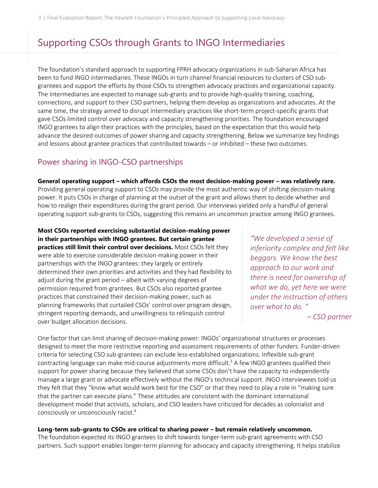## Supporting CSOs through Grants to INGO Intermediaries

The foundation's standard approach to supporting FPRH advocacy organizations in sub-Saharan Africa has been to fund INGO intermediaries. These INGOs in turn channel financial resources to clusters of CSO subgrantees and support the efforts by those CSOs to strengthen advocacy practices and organizational capacity. The intermediaries are expected to manage sub-grants and to provide high-quality training, coaching, connections, and support to their CSO partners, helping them develop as organizations and advocates. At the same time, the strategy aimed to disrupt intermediary practices like short-term project-specific grants that gave CSOs limited control over advocacy and capacity strengthening priorities. The foundation encouraged INGO grantees to align their practices with the principles, based on the expectation that this would help advance the desired outcomes of power sharing and capacity strengthening. Below we summarize key findings and lessons about grantee practices that contributed towards – or inhibited – these two outcomes.

### Power sharing in INGO-CSO partnerships

**General operating support – which affords CSOs the most decision-making power – was relatively rare.** Providing general operating support to CSOs may provide the most authentic way of shifting decision-making power. It puts CSOs in charge of planning at the outset of the grant and allows them to decide whether and how to realign their expenditures during the grant period. Our interviews yielded only a handful of general operating support sub-grants to CSOs, suggesting this remains an uncommon practice among INGO grantees.

**Most CSOs reported exercising substantial decision-making power in their partnerships with INGO grantees. But certain grantee practices still limit their control over decisions.** Most CSOs felt they were able to exercise considerable decision-making power in their partnerships with the INGO grantees: they largely or entirely determined their own priorities and activities and they had flexibility to adjust during the grant period – albeit with varying degrees of permission required from grantees. But CSOs also reported grantee practices that constrained their decision-making power, such as planning frameworks that curtailed CSOs' control over program design, stringent reporting demands, and unwillingness to relinquish control over budget allocation decisions.

*"We developed a sense of inferiority complex and felt like beggars. We know the best approach to our work and there is need for ownership of what we do, yet here we were under the instruction of others over what to do. "*

*– CSO partner*

One factor that can limit sharing of decision-making power: INGOs' organizational structures or processes designed to meet the more restrictive reporting and assessment requirements of other funders. Funder-driven criteria for selecting CSO sub-grantees can exclude less-established organizations. Inflexible sub-grant contracting language can make mid-course adjustments more difficult. <sup>3</sup> A few INGO grantees qualified their support for power sharing because they believed that some CSOs don't have the capacity to independently manage a large grant or advocate effectively without the INGO's technical support. INGO interviewees told us they felt that they "know what would work best for the CSO" or that they need to play a role in "making sure that the partner can execute plans." These attitudes are consistent with the dominant international development model that activists, scholars, and CSO leaders have criticized for decades as colonialist and consciously or unconsciously racist.<sup>4</sup>

#### Long-term sub-grants to CSOs are critical to sharing power - but remain relatively uncommon.

The foundation expected its INGO grantees to shift towards longer-term sub-grant agreements with CSO partners. Such support enables longer-term planning for advocacy and capacity strengthening. It helps stabilize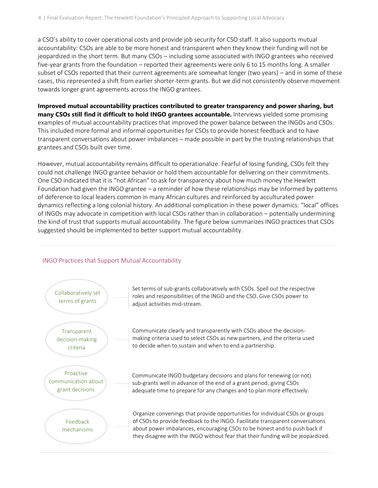a CSO's ability to cover operational costs and provide job security for CSO staff. It also supports mutual accountability: CSOs are able to be more honest and transparent when they know their funding will not be jeopardized in the short term. But many CSOs – including some associated with INGO grantees who received five-year grants from the foundation – reported their agreements were only 6 to 15 months long. A smaller subset of CSOs reported that their current agreements are somewhat longer (two years) – and in some of these cases, this represented a shift from earlier shorter-term grants. But we did not consistently observe movement towards longer grant agreements across the INGO grantees.

**Improved mutual accountability practices contributed to greater transparency and power sharing, but many CSOs still find it difficult to hold INGO grantees accountable.** Interviews yielded some promising examples of mutual accountability practices that improved the power balance between the INGOs and CSOs. This included more formal and informal opportunities for CSOs to provide honest feedback and to have transparent conversations about power imbalances – made possible in part by the trusting relationships that grantees and CSOs built over time.

However, mutual accountability remains difficult to operationalize. Fearful of losing funding, CSOs felt they could not challenge INGO grantee behavior or hold them accountable for delivering on their commitments. One CSO indicated that it is "not African" to ask for transparency about how much money the Hewlett Foundation had given the INGO grantee – a reminder of how these relationships may be informed by patterns of deference to local leaders common in many African cultures and reinforced by acculturated power dynamics reflecting a long colonial history. An additional complication in these power dynamics: "local" offices of INGOs may advocate in competition with local CSOs rather than in collaboration – potentially undermining the kind of trust that supports mutual accountability. The figure below summarizes INGO practices that CSOs suggested should be implemented to better support mutual accountability.

#### INGO Practices that Support Mutual Accountability

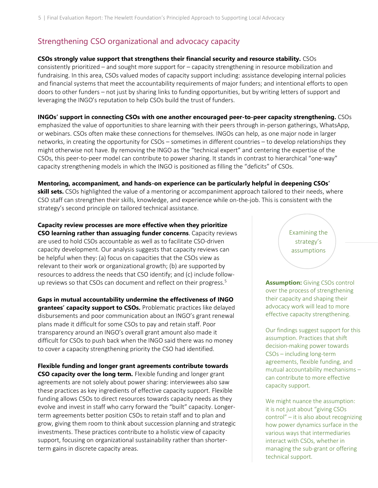### Strengthening CSO organizational and advocacy capacity

#### **CSOs strongly value support that strengthens their financial security and resource stability.** CSOs

consistently prioritized – and sought more support for – capacity strengthening in resource mobilization and fundraising. In this area, CSOs valued modes of capacity support including: assistance developing internal policies and financial systems that meet the accountability requirements of major funders; and intentional efforts to open doors to other funders – not just by sharing links to funding opportunities, but by writing letters of support and leveraging the INGO's reputation to help CSOs build the trust of funders.

**INGOs' support in connecting CSOs with one another encouraged peer-to-peer capacity strengthening.** CSOs emphasized the value of opportunities to share learning with their peers through in-person gatherings, WhatsApp, or webinars. CSOs often make these connections for themselves. INGOs can help, as one major node in larger networks, in creating the opportunity for CSOs – sometimes in different countries – to develop relationships they might otherwise not have. By removing the INGO as the "technical expert" and centering the expertise of the CSOs, this peer-to-peer model can contribute to power sharing. It stands in contrast to hierarchical "one-way" capacity strengthening models in which the INGO is positioned as filling the "deficits" of CSOs.

**Mentoring, accompaniment, and hands-on experience can be particularly helpful in deepening CSOs' skill sets.** CSOs highlighted the value of a mentoring or accompaniment approach tailored to their needs, where CSO staff can strengthen their skills, knowledge, and experience while on-the-job. This is consistent with the strategy's second principle on tailored technical assistance.

**Capacity review processes are more effective when they prioritize CSO learning rather than assuaging funder concerns**. Capacity reviews are used to hold CSOs accountable as well as to facilitate CSO-driven capacity development. Our analysis suggests that capacity reviews can be helpful when they: (a) focus on capacities that the CSOs view as relevant to their work or organizational growth; (b) are supported by resources to address the needs that CSO identify; and (c) include followup reviews so that CSOs can document and reflect on their progress.<sup>5</sup>

**Gaps in mutual accountability undermine the effectiveness of INGO grantees' capacity support to CSOs.** Problematic practices like delayed disbursements and poor communication about an INGO's grant renewal plans made it difficult for some CSOs to pay and retain staff. Poor transparency around an INGO's overall grant amount also made it difficult for CSOs to push back when the INGO said there was no money to cover a capacity strengthening priority the CSO had identified.

**Flexible funding and longer grant agreements contribute towards CSO capacity over the long term.** Flexible funding and longer grant agreements are not solely about power sharing: interviewees also saw these practices as key ingredients of effective capacity support. Flexible funding allows CSOs to direct resources towards capacity needs as they evolve and invest in staff who carry forward the "built" capacity. Longerterm agreements better position CSOs to retain staff and to plan and grow, giving them room to think about succession planning and strategic investments. These practices contribute to a holistic view of capacity support, focusing on organizational sustainability rather than shorterterm gains in discrete capacity areas.

Examining the strategy's assumptions

**Assumption:** Giving CSOs control over the process of strengthening their capacity and shaping their advocacy work will lead to more effective capacity strengthening.

Our findings suggest support for this assumption. Practices that shift decision-making power towards CSOs – including long-term agreements, flexible funding, and mutual accountability mechanisms – can contribute to more effective capacity support.

We might nuance the assumption: it is not just about "giving CSOs control" – it is also about recognizing how power dynamics surface in the various ways that intermediaries interact with CSOs, whether in managing the sub-grant or offering technical support.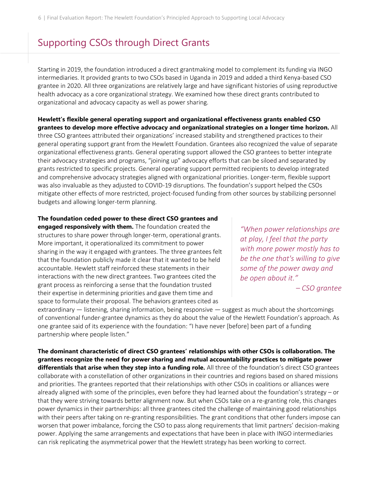## Supporting CSOs through Direct Grants

Starting in 2019, the foundation introduced a direct grantmaking model to complement its funding via INGO intermediaries. It provided grants to two CSOs based in Uganda in 2019 and added a third Kenya-based CSO grantee in 2020. All three organizations are relatively large and have significant histories of using reproductive health advocacy as a core organizational strategy. We examined how these direct grants contributed to organizational and advocacy capacity as well as power sharing.

**Hewlett's flexible general operating support and organizational effectiveness grants enabled CSO grantees to develop more effective advocacy and organizational strategies on a longer time horizon.** All three CSO grantees attributed their organizations' increased stability and strengthened practices to their general operating support grant from the Hewlett Foundation. Grantees also recognized the value of separate organizational effectiveness grants. General operating support allowed the CSO grantees to better integrate their advocacy strategies and programs, "joining up" advocacy efforts that can be siloed and separated by grants restricted to specific projects. General operating support permitted recipients to develop integrated and comprehensive advocacy strategies aligned with organizational priorities. Longer-term, flexible support was also invaluable as they adjusted to COVID-19 disruptions. The foundation's support helped the CSOs mitigate other effects of more restricted, project-focused funding from other sources by stabilizing personnel budgets and allowing longer-term planning.

#### **The foundation ceded power to these direct CSO grantees and**

**engaged responsively with them.** The foundation created the structures to share power through longer-term, operational grants. More important, it operationalized its commitment to power sharing in the way it engaged with grantees. The three grantees felt that the foundation publicly made it clear that it wanted to be held accountable. Hewlett staff reinforced these statements in their interactions with the new direct grantees. Two grantees cited the grant process as reinforcing a sense that the foundation trusted their expertise in determining priorities and gave them time and space to formulate their proposal. The behaviors grantees cited as

*"When power relationships are at play, I feel that the party with more power mostly has to be the one that's willing to give some of the power away and be open about it."*

*– CSO grantee*

extraordinary — listening, sharing information, being responsive — suggest as much about the shortcomings of conventional funder-grantee dynamics as they do about the value of the Hewlett Foundation's approach. As one grantee said of its experience with the foundation: "I have never [before] been part of a funding partnership where people listen."

**The dominant characteristic of direct CSO grantees' relationships with other CSOs is collaboration. The grantees recognize the need for power sharing and mutual accountability practices to mitigate power differentials that arise when they step into a funding role.** All three of the foundation's direct CSO grantees collaborate with a constellation of other organizations in their countries and regions based on shared missions and priorities. The grantees reported that their relationships with other CSOs in coalitions or alliances were already aligned with some of the principles, even before they had learned about the foundation's strategy – or that they were striving towards better alignment now. But when CSOs take on a re-granting role, this changes power dynamics in their partnerships: all three grantees cited the challenge of maintaining good relationships with their peers after taking on re-granting responsibilities. The grant conditions that other funders impose can worsen that power imbalance, forcing the CSO to pass along requirements that limit partners' decision-making power. Applying the same arrangements and expectations that have been in place with INGO intermediaries can risk replicating the asymmetrical power that the Hewlett strategy has been working to correct.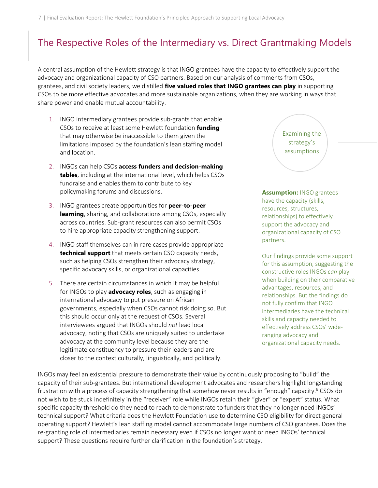## The Respective Roles of the Intermediary vs. Direct Grantmaking Models

A central assumption of the Hewlett strategy is that INGO grantees have the capacity to effectively support the advocacy and organizational capacity of CSO partners. Based on our analysis of comments from CSOs, grantees, and civil society leaders, we distilled **five valued roles that INGO grantees can play** in supporting CSOs to be more effective advocates and more sustainable organizations, when they are working in ways that share power and enable mutual accountability.

- 1. INGO intermediary grantees provide sub-grants that enable CSOs to receive at least some Hewlett foundation **funding** that may otherwise be inaccessible to them given the limitations imposed by the foundation's lean staffing model and location.
- 2. INGOs can help CSOs **access funders and decision-making tables**, including at the international level, which helps CSOs fundraise and enables them to contribute to key policymaking forums and discussions.
- 3. INGO grantees create opportunities for **peer-to-peer learning**, sharing, and collaborations among CSOs, especially across countries. Sub-grant resources can also permit CSOs to hire appropriate capacity strengthening support.
- 4. INGO staff themselves can in rare cases provide appropriate **technical support** that meets certain CSO capacity needs, such as helping CSOs strengthen their advocacy strategy, specific advocacy skills, or organizational capacities.
- 5. There are certain circumstances in which it may be helpful for INGOs to play **advocacy roles**, such as engaging in international advocacy to put pressure on African governments, especially when CSOs cannot risk doing so. But this should occur only at the request of CSOs. Several interviewees argued that INGOs should *not* lead local advocacy, noting that CSOs are uniquely suited to undertake advocacy at the community level because they are the legitimate constituency to pressure their leaders and are closer to the context culturally, linguistically, and politically.

Examining the strategy's assumptions

**Assumption:** INGO grantees have the capacity (skills, resources, structures, relationships) to effectively support the advocacy and organizational capacity of CSO partners.

Our findings provide some support for this assumption, suggesting the constructive roles INGOs *can* play when building on their comparative advantages, resources, and relationships. But the findings do not fully confirm that INGO intermediaries have the technical skills and capacity needed to effectively address CSOs' wideranging advocacy and organizational capacity needs.

INGOs may feel an existential pressure to demonstrate their value by continuously proposing to "build" the capacity of their sub-grantees. But international development advocates and researchers highlight longstanding frustration with a process of capacity strengthening that somehow never results in "enough" capacity.<sup>6</sup> CSOs do not wish to be stuck indefinitely in the "receiver" role while INGOs retain their "giver" or "expert" status. What specific capacity threshold do they need to reach to demonstrate to funders that they no longer need INGOs' technical support? What criteria does the Hewlett Foundation use to determine CSO eligibility for direct general operating support? Hewlett's lean staffing model cannot accommodate large numbers of CSO grantees. Does the re-granting role of intermediaries remain necessary even if CSOs no longer want or need INGOs' technical support? These questions require further clarification in the foundation's strategy.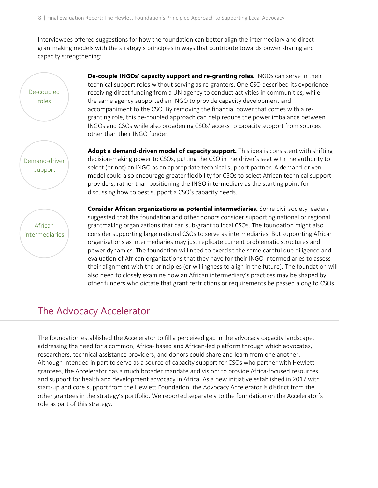Interviewees offered suggestions for how the foundation can better align the intermediary and direct grantmaking models with the strategy's principles in ways that contribute towards power sharing and capacity strengthening:

De-coupled roles

Demand-driven support

**De-couple INGOs' capacity support and re-granting roles.** INGOs can serve in their technical support roles without serving as re-granters. One CSO described its experience receiving direct funding from a UN agency to conduct activities in communities, while the same agency supported an INGO to provide capacity development and accompaniment to the CSO. By removing the financial power that comes with a regranting role, this de-coupled approach can help reduce the power imbalance between INGOs and CSOs while also broadening CSOs' access to capacity support from sources other than their INGO funder.

**Adopt a demand-driven model of capacity support.** This idea is consistent with shifting decision-making power to CSOs, putting the CSO in the driver's seat with the authority to select (or not) an INGO as an appropriate technical support partner. A demand-driven model could also encourage greater flexibility for CSOs to select African technical support providers, rather than positioning the INGO intermediary as the starting point for discussing how to best support a CSO's capacity needs.

**Consider African organizations as potential intermediaries.** Some civil society leaders suggested that the foundation and other donors consider supporting national or regional grantmaking organizations that can sub-grant to local CSOs. The foundation might also consider supporting large national CSOs to serve as intermediaries. But supporting African organizations as intermediaries may just replicate current problematic structures and power dynamics. The foundation will need to exercise the same careful due diligence and evaluation of African organizations that they have for their INGO intermediaries to assess their alignment with the principles (or willingness to align in the future). The foundation will also need to closely examine how an African intermediary's practices may be shaped by other funders who dictate that grant restrictions or requirements be passed along to CSOs.

## The Advocacy Accelerator

The foundation established the Accelerator to fill a perceived gap in the advocacy capacity landscape, addressing the need for a common, Africa- based and African-led platform through which advocates, researchers, technical assistance providers, and donors could share and learn from one another. Although intended in part to serve as a source of capacity support for CSOs who partner with Hewlett grantees, the Accelerator has a much broader mandate and vision: to provide Africa-focused resources and support for health and development advocacy in Africa. As a new initiative established in 2017 with start-up and core support from the Hewlett Foundation, the Advocacy Accelerator is distinct from the other grantees in the strategy's portfolio. We reported separately to the foundation on the Accelerator's role as part of this strategy.

African intermediaries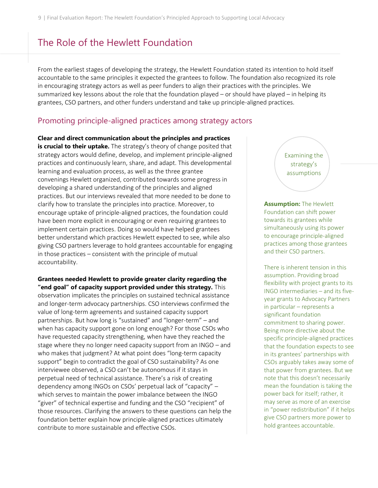## The Role of the Hewlett Foundation

From the earliest stages of developing the strategy, the Hewlett Foundation stated its intention to hold itself accountable to the same principles it expected the grantees to follow. The foundation also recognized its role in encouraging strategy actors as well as peer funders to align their practices with the principles. We summarized key lessons about the role that the foundation played – or should have played – in helping its grantees, CSO partners, and other funders understand and take up principle-aligned practices.

### Promoting principle-aligned practices among strategy actors

**Clear and direct communication about the principles and practices is crucial to their uptake.** The strategy's theory of change posited that strategy actors would define, develop, and implement principle-aligned practices and continuously learn, share, and adapt. This developmental learning and evaluation process, as well as the three grantee convenings Hewlett organized, contributed towards some progress in developing a shared understanding of the principles and aligned practices. But our interviews revealed that more needed to be done to clarify how to translate the principles into practice. Moreover, to encourage uptake of principle-aligned practices, the foundation could have been more explicit in encouraging or even requiring grantees to implement certain practices. Doing so would have helped grantees better understand which practices Hewlett expected to see, while also giving CSO partners leverage to hold grantees accountable for engaging in those practices – consistent with the principle of mutual accountability.

**Grantees needed Hewlett to provide greater clarity regarding the "end goal" of capacity support provided under this strategy.** This observation implicates the principles on sustained technical assistance and longer-term advocacy partnerships. CSO interviews confirmed the value of long-term agreements and sustained capacity support partnerships. But how long is "sustained" and "longer-term" – and when has capacity support gone on long enough? For those CSOs who have requested capacity strengthening, when have they reached the stage where they no longer need capacity support from an INGO – and who makes that judgment? At what point does "long-term capacity support" begin to contradict the goal of CSO sustainability? As one interviewee observed, a CSO can't be autonomous if it stays in perpetual need of technical assistance. There's a risk of creating dependency among INGOs on CSOs' perpetual lack of "capacity" – which serves to maintain the power imbalance between the INGO "giver" of technical expertise and funding and the CSO "recipient" of those resources. Clarifying the answers to these questions can help the foundation better explain how principle-aligned practices ultimately contribute to more sustainable and effective CSOs.

Examining the strategy's assumptions

**Assumption:** The Hewlett Foundation can shift power towards its grantees while simultaneously using its power to encourage principle-aligned practices among those grantees and their CSO partners.

There is inherent tension in this assumption. Providing broad flexibility with project grants to its INGO intermediaries – and its fiveyear grants to Advocacy Partners in particular – represents a significant foundation commitment to sharing power. Being more directive about the specific principle-aligned practices that the foundation expects to see in its grantees' partnerships with CSOs arguably takes away some of that power from grantees. But we note that this doesn't necessarily mean the foundation is taking the power back for itself; rather, it may serve as more of an exercise in "power redistribution" if it helps give CSO partners more power to hold grantees accountable.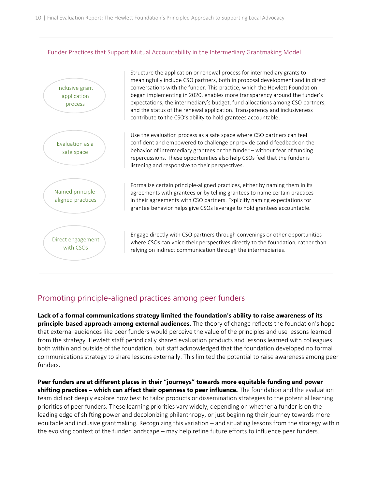#### Funder Practices that Support Mutual Accountability in the Intermediary Grantmaking Model



### Promoting principle-aligned practices among peer funders

**Lack of a formal communications strategy limited the foundation's ability to raise awareness of its principle-based approach among external audiences.** The theory of change reflects the foundation's hope that external audiences like peer funders would perceive the value of the principles and use lessons learned from the strategy. Hewlett staff periodically shared evaluation products and lessons learned with colleagues both within and outside of the foundation, but staff acknowledged that the foundation developed no formal communications strategy to share lessons externally. This limited the potential to raise awareness among peer funders.

**Peer funders are at different places in their "journeys" towards more equitable funding and power shifting practices – which can affect their openness to peer influence.** The foundation and the evaluation team did not deeply explore how best to tailor products or dissemination strategies to the potential learning priorities of peer funders. These learning priorities vary widely, depending on whether a funder is on the leading edge of shifting power and decolonizing philanthropy, or just beginning their journey towards more equitable and inclusive grantmaking. Recognizing this variation – and situating lessons from the strategy within the evolving context of the funder landscape – may help refine future efforts to influence peer funders.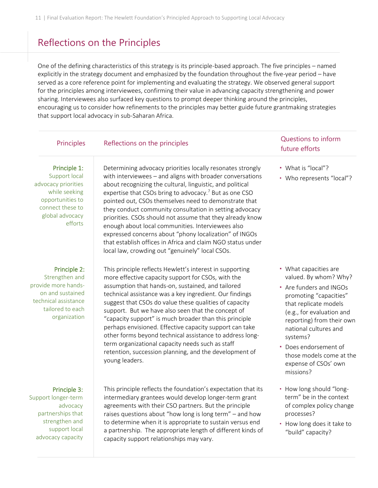## Reflections on the Principles

One of the defining characteristics of this strategy is its principle-based approach. The five principles – named explicitly in the strategy document and emphasized by the foundation throughout the five-year period – have served as a core reference point for implementing and evaluating the strategy. We observed general support for the principles among interviewees, confirming their value in advancing capacity strengthening and power sharing. Interviewees also surfaced key questions to prompt deeper thinking around the principles, encouraging us to consider how refinements to the principles may better guide future grantmaking strategies that support local advocacy in sub-Saharan Africa. 7

| Principles                                                                                                                                  | Reflections on the principles                                                                                                                                                                                                                                                                                                                                                                                                                                                                                                                                                                                                                                                | Questions to inform<br>future efforts                                                                                                                                                                                                                                                                               |
|---------------------------------------------------------------------------------------------------------------------------------------------|------------------------------------------------------------------------------------------------------------------------------------------------------------------------------------------------------------------------------------------------------------------------------------------------------------------------------------------------------------------------------------------------------------------------------------------------------------------------------------------------------------------------------------------------------------------------------------------------------------------------------------------------------------------------------|---------------------------------------------------------------------------------------------------------------------------------------------------------------------------------------------------------------------------------------------------------------------------------------------------------------------|
| Principle 1:<br>Support local<br>advocacy priorities<br>while seeking<br>opportunities to<br>connect these to<br>global advocacy<br>efforts | Determining advocacy priorities locally resonates strongly<br>with interviewees - and aligns with broader conversations<br>about recognizing the cultural, linguistic, and political<br>expertise that CSOs bring to advocacy. <sup>7</sup> But as one CSO<br>pointed out, CSOs themselves need to demonstrate that<br>they conduct community consultation in setting advocacy<br>priorities. CSOs should not assume that they already know<br>enough about local communities. Interviewees also<br>expressed concerns about "phony localization" of INGOs<br>that establish offices in Africa and claim NGO status under<br>local law, crowding out "genuinely" local CSOs. | • What is "local"?<br>• Who represents "local"?                                                                                                                                                                                                                                                                     |
| Principle 2:<br>Strengthen and<br>provide more hands-<br>on and sustained<br>technical assistance<br>tailored to each<br>organization       | This principle reflects Hewlett's interest in supporting<br>more effective capacity support for CSOs, with the<br>assumption that hands-on, sustained, and tailored<br>technical assistance was a key ingredient. Our findings<br>suggest that CSOs do value these qualities of capacity<br>support. But we have also seen that the concept of<br>"capacity support" is much broader than this principle<br>perhaps envisioned. Effective capacity support can take<br>other forms beyond technical assistance to address long-<br>term organizational capacity needs such as staff<br>retention, succession planning, and the development of<br>young leaders.              | • What capacities are<br>valued. By whom? Why?<br>• Are funders and INGOs<br>promoting "capacities"<br>that replicate models<br>(e.g., for evaluation and<br>reporting) from their own<br>national cultures and<br>systems?<br>Does endorsement of<br>those models come at the<br>expense of CSOs' own<br>missions? |
| Principle 3:<br>Support longer-term<br>advocacy<br>partnerships that<br>strengthen and<br>support local<br>advocacy capacity                | This principle reflects the foundation's expectation that its<br>intermediary grantees would develop longer-term grant<br>agreements with their CSO partners. But the principle<br>raises questions about "how long is long term" - and how<br>to determine when it is appropriate to sustain versus end<br>a partnership. The appropriate length of different kinds of<br>capacity support relationships may vary.                                                                                                                                                                                                                                                          | - How long should "long-<br>term" be in the context<br>of complex policy change<br>processes?<br>• How long does it take to<br>"build" capacity?                                                                                                                                                                    |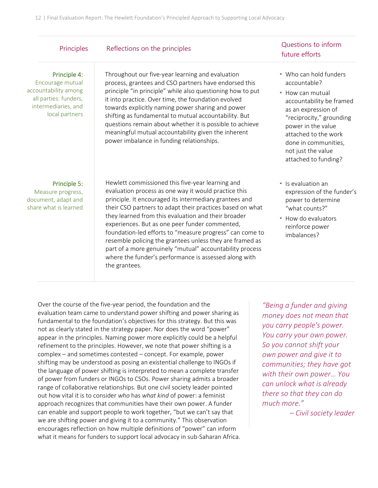| Principles                                                                                                                 | Reflections on the principles                                                                                                                                                                                                                                                                                                                                                                                                                                                                                                                                                                          | Questions to inform<br>future efforts                                                                                                                                                                                                                         |
|----------------------------------------------------------------------------------------------------------------------------|--------------------------------------------------------------------------------------------------------------------------------------------------------------------------------------------------------------------------------------------------------------------------------------------------------------------------------------------------------------------------------------------------------------------------------------------------------------------------------------------------------------------------------------------------------------------------------------------------------|---------------------------------------------------------------------------------------------------------------------------------------------------------------------------------------------------------------------------------------------------------------|
| Principle 4:<br>Encourage mutual<br>accountability among<br>all parties: funders,<br>intermediaries, and<br>local partners | Throughout our five-year learning and evaluation<br>process, grantees and CSO partners have endorsed this<br>principle "in principle" while also questioning how to put<br>it into practice. Over time, the foundation evolved<br>towards explicitly naming power sharing and power<br>shifting as fundamental to mutual accountability. But<br>questions remain about whether it is possible to achieve<br>meaningful mutual accountability given the inherent<br>power imbalance in funding relationships.                                                                                           | • Who can hold funders<br>accountable?<br>• How can mutual<br>accountability be framed<br>as an expression of<br>"reciprocity," grounding<br>power in the value<br>attached to the work<br>done in communities,<br>not just the value<br>attached to funding? |
| Principle 5:<br>Measure progress,<br>document, adapt and<br>share what is learned                                          | Hewlett commissioned this five-year learning and<br>evaluation process as one way it would practice this<br>principle. It encouraged its intermediary grantees and<br>their CSO partners to adapt their practices based on what<br>they learned from this evaluation and their broader<br>experiences. But as one peer funder commented,<br>foundation-led efforts to "measure progress" can come to<br>resemble policing the grantees unless they are framed as<br>part of a more genuinely "mutual" accountability process<br>where the funder's performance is assessed along with<br>the grantees. | • Is evaluation an<br>expression of the funder's<br>power to determine<br>"what counts?"<br>• How do evaluators<br>reinforce power<br>imbalances?                                                                                                             |

Over the course of the five-year period, the foundation and the evaluation team came to understand power shifting and power sharing as fundamental to the foundation's objectives for this strategy. But this was not as clearly stated in the strategy paper. Nor does the word "power" appear in the principles. Naming power more explicitly could be a helpful refinement to the principles. However, we note that power shifting is a complex – and sometimes contested – concept. For example, power shifting may be understood as posing an existential challenge to INGOs if the language of power shifting is interpreted to mean a complete transfer of power from funders or INGOs to CSOs. Power sharing admits a broader range of collaborative relationships. But one civil society leader pointed out how vital it is to consider *who* has *what kind* of power: a feminist approach recognizes that communities have their own power. A funder can enable and support people to work together, "but we can't say that we are shifting power and giving it to a community." This observation encourages reflection on how multiple definitions of "power" can inform what it means for funders to support local advocacy in sub-Saharan Africa.

*"Being a funder and giving money does not mean that you carry people's power. You carry your own power. So you cannot shift your own power and give it to communities; they have got with their own power… You can unlock what is already there so that they can do much more."*

*– Civil society leader*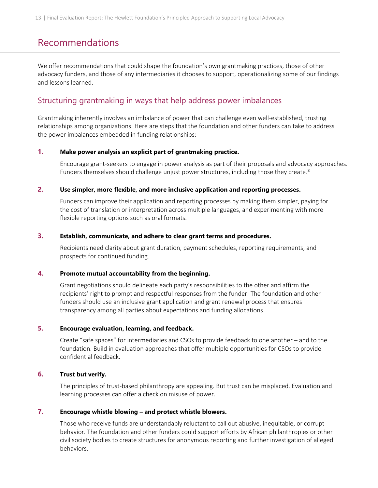## Recommendations

We offer recommendations that could shape the foundation's own grantmaking practices, those of other advocacy funders, and those of any intermediaries it chooses to support, operationalizing some of our findings and lessons learned.

### Structuring grantmaking in ways that help address power imbalances

Grantmaking inherently involves an imbalance of power that can challenge even well-established, trusting relationships among organizations. Here are steps that the foundation and other funders can take to address the power imbalances embedded in funding relationships:

#### **1. Make power analysis an explicit part of grantmaking practice.**

Encourage grant-seekers to engage in power analysis as part of their proposals and advocacy approaches. Funders themselves should challenge unjust power structures, including those they create.<sup>8</sup>

#### **2. Use simpler, more flexible, and more inclusive application and reporting processes.**

Funders can improve their application and reporting processes by making them simpler, paying for the cost of translation or interpretation across multiple languages, and experimenting with more flexible reporting options such as oral formats.

#### **3. Establish, communicate, and adhere to clear grant terms and procedures.**

Recipients need clarity about grant duration, payment schedules, reporting requirements, and prospects for continued funding.

#### **4. Promote mutual accountability from the beginning.**

Grant negotiations should delineate each party's responsibilities to the other and affirm the recipients' right to prompt and respectful responses from the funder. The foundation and other funders should use an inclusive grant application and grant renewal process that ensures transparency among all parties about expectations and funding allocations.

#### **5. Encourage evaluation, learning, and feedback.**

Create "safe spaces" for intermediaries and CSOs to provide feedback to one another – and to the foundation. Build in evaluation approaches that offer multiple opportunities for CSOs to provide confidential feedback.

#### **6. Trust but verify.**

The principles of trust-based philanthropy are appealing. But trust can be misplaced. Evaluation and learning processes can offer a check on misuse of power.

#### **7. Encourage whistle blowing – and protect whistle blowers.**

Those who receive funds are understandably reluctant to call out abusive, inequitable, or corrupt behavior. The foundation and other funders could support efforts by African philanthropies or other civil society bodies to create structures for anonymous reporting and further investigation of alleged behaviors.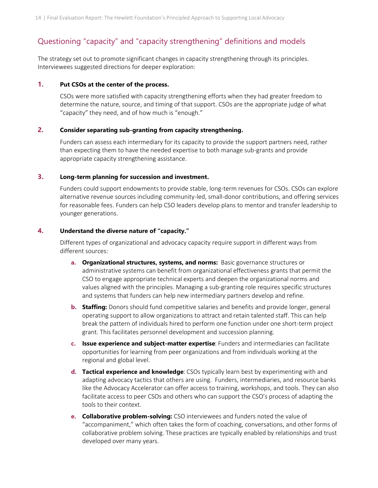### Questioning "capacity" and "capacity strengthening" definitions and models

The strategy set out to promote significant changes in capacity strengthening through its principles. Interviewees suggested directions for deeper exploration:

#### **1. Put CSOs at the center of the process.**

CSOs were more satisfied with capacity strengthening efforts when they had greater freedom to determine the nature, source, and timing of that support. CSOs are the appropriate judge of what "capacity" they need, and of how much is "enough."

#### **2. Consider separating sub-granting from capacity strengthening.**

Funders can assess each intermediary for its capacity to provide the support partners need, rather than expecting them to have the needed expertise to both manage sub-grants and provide appropriate capacity strengthening assistance.

#### **3. Long-term planning for succession and investment.**

Funders could support endowments to provide stable, long-term revenues for CSOs. CSOs can explore alternative revenue sources including community-led, small-donor contributions, and offering services for reasonable fees. Funders can help CSO leaders develop plans to mentor and transfer leadership to younger generations.

#### **4. Understand the diverse nature of "capacity."**

Different types of organizational and advocacy capacity require support in different ways from different sources:

- **a. Organizational structures, systems, and norms:** Basic governance structures or administrative systems can benefit from organizational effectiveness grants that permit the CSO to engage appropriate technical experts and deepen the organizational norms and values aligned with the principles. Managing a sub-granting role requires specific structures and systems that funders can help new intermediary partners develop and refine.
- **b. Staffing:** Donors should fund competitive salaries and benefits and provide longer, general operating support to allow organizations to attract and retain talented staff. This can help break the pattern of individuals hired to perform one function under one short-term project grant. This facilitates personnel development and succession planning.
- **c. Issue experience and subject-matter expertise**: Funders and intermediaries can facilitate opportunities for learning from peer organizations and from individuals working at the regional and global level.
- **d. Tactical experience and knowledge**: CSOs typically learn best by experimenting with and adapting advocacy tactics that others are using. Funders, intermediaries, and resource banks like the Advocacy Accelerator can offer access to training, workshops, and tools. They can also facilitate access to peer CSOs and others who can support the CSO's process of adapting the tools to their context.
- **e. Collaborative problem-solving:** CSO interviewees and funders noted the value of "accompaniment," which often takes the form of coaching, conversations, and other forms of collaborative problem solving. These practices are typically enabled by relationships and trust developed over many years.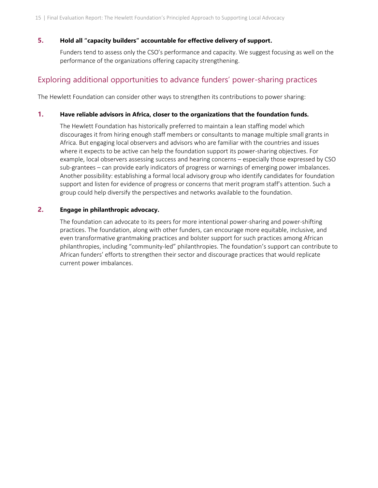#### **5. Hold all "capacity builders" accountable for effective delivery of support.**

Funders tend to assess only the CSO's performance and capacity. We suggest focusing as well on the performance of the organizations offering capacity strengthening.

### Exploring additional opportunities to advance funders' power-sharing practices

The Hewlett Foundation can consider other ways to strengthen its contributions to power sharing:

#### **1. Have reliable advisors in Africa, closer to the organizations that the foundation funds.**

The Hewlett Foundation has historically preferred to maintain a lean staffing model which discourages it from hiring enough staff members or consultants to manage multiple small grants in Africa. But engaging local observers and advisors who are familiar with the countries and issues where it expects to be active can help the foundation support its power-sharing objectives. For example, local observers assessing success and hearing concerns – especially those expressed by CSO sub-grantees – can provide early indicators of progress or warnings of emerging power imbalances. Another possibility: establishing a formal local advisory group who identify candidates for foundation support and listen for evidence of progress or concerns that merit program staff's attention. Such a group could help diversify the perspectives and networks available to the foundation.

#### **2. Engage in philanthropic advocacy.**

The foundation can advocate to its peers for more intentional power-sharing and power-shifting practices. The foundation, along with other funders, can encourage more equitable, inclusive, and even transformative grantmaking practices and bolster support for such practices among African philanthropies, including "community-led" philanthropies. The foundation's support can contribute to African funders' efforts to strengthen their sector and discourage practices that would replicate current power imbalances.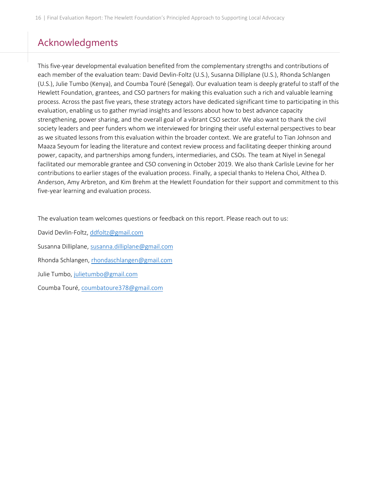## Acknowledgments

This five-year developmental evaluation benefited from the complementary strengths and contributions of each member of the evaluation team: David Devlin-Foltz (U.S.), Susanna Dilliplane (U.S.), Rhonda Schlangen (U.S.), Julie Tumbo (Kenya), and Coumba Touré (Senegal). Our evaluation team is deeply grateful to staff of the Hewlett Foundation, grantees, and CSO partners for making this evaluation such a rich and valuable learning process. Across the past five years, these strategy actors have dedicated significant time to participating in this evaluation, enabling us to gather myriad insights and lessons about how to best advance capacity strengthening, power sharing, and the overall goal of a vibrant CSO sector. We also want to thank the civil society leaders and peer funders whom we interviewed for bringing their useful external perspectives to bear as we situated lessons from this evaluation within the broader context. We are grateful to Tian Johnson and Maaza Seyoum for leading the literature and context review process and facilitating deeper thinking around power, capacity, and partnerships among funders, intermediaries, and CSOs. The team at Niyel in Senegal facilitated our memorable grantee and CSO convening in October 2019. We also thank Carlisle Levine for her contributions to earlier stages of the evaluation process. Finally, a special thanks to Helena Choi, Althea D. Anderson, Amy Arbreton, and Kim Brehm at the Hewlett Foundation for their support and commitment to this five-year learning and evaluation process.

The evaluation team welcomes questions or feedback on this report. Please reach out to us:

David Devlin-Foltz, [ddfoltz@gmail.com](mailto:ddfoltz@gmail.com)

Susanna Dilliplane[, susanna.dilliplane@gmail.com](mailto:susanna.dilliplane@gmail.com)

Rhonda Schlangen, [rhondaschlangen@gmail.com](mailto:rhondaschlangen@gmail.com)

Julie Tumbo[, julietumbo@gmail.com](mailto:julietumbo@gmail.com)

Coumba Touré, [coumbatoure378@gmail.com](mailto:coumbatoure378@gmail.com)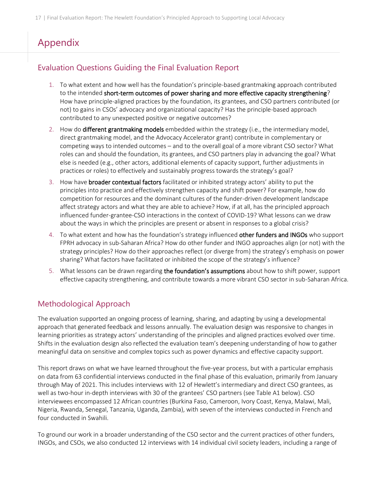## Appendix

### Evaluation Questions Guiding the Final Evaluation Report

- 1. To what extent and how well has the foundation's principle-based grantmaking approach contributed to the intended short-term outcomes of power sharing and more effective capacity strengthening? How have principle-aligned practices by the foundation, its grantees, and CSO partners contributed (or not) to gains in CSOs' advocacy and organizational capacity? Has the principle-based approach contributed to any unexpected positive or negative outcomes?
- 2. How do **different grantmaking models** embedded within the strategy (i.e., the intermediary model, direct grantmaking model, and the Advocacy Accelerator grant) contribute in complementary or competing ways to intended outcomes – and to the overall goal of a more vibrant CSO sector? What roles can and should the foundation, its grantees, and CSO partners play in advancing the goal? What else is needed (e.g., other actors, additional elements of capacity support, further adjustments in practices or roles) to effectively and sustainably progress towards the strategy's goal?
- 3. How have **broader contextual factors** facilitated or inhibited strategy actors' ability to put the principles into practice and effectively strengthen capacity and shift power? For example, how do competition for resources and the dominant cultures of the funder-driven development landscape affect strategy actors and what they are able to achieve? How, if at all, has the principled approach influenced funder-grantee-CSO interactions in the context of COVID-19? What lessons can we draw about the ways in which the principles are present or absent in responses to a global crisis?
- 4. To what extent and how has the foundation's strategy influenced other funders and INGOs who support FPRH advocacy in sub-Saharan Africa? How do other funder and INGO approaches align (or not) with the strategy principles? How do their approaches reflect (or diverge from) the strategy's emphasis on power sharing? What factors have facilitated or inhibited the scope of the strategy's influence?
- 5. What lessons can be drawn regarding the foundation's assumptions about how to shift power, support effective capacity strengthening, and contribute towards a more vibrant CSO sector in sub-Saharan Africa.

### Methodological Approach

The evaluation supported an ongoing process of learning, sharing, and adapting by using a developmental approach that generated feedback and lessons annually. The evaluation design was responsive to changes in learning priorities as strategy actors' understanding of the principles and aligned practices evolved over time. Shifts in the evaluation design also reflected the evaluation team's deepening understanding of how to gather meaningful data on sensitive and complex topics such as power dynamics and effective capacity support.

This report draws on what we have learned throughout the five-year process, but with a particular emphasis on data from 63 confidential interviews conducted in the final phase of this evaluation, primarily from January through May of 2021. This includes interviews with 12 of Hewlett's intermediary and direct CSO grantees, as well as two-hour in-depth interviews with 30 of the grantees' CSO partners (see Table A1 below). CSO interviewees encompassed 12 African countries (Burkina Faso, Cameroon, Ivory Coast, Kenya, Malawi, Mali, Nigeria, Rwanda, Senegal, Tanzania, Uganda, Zambia), with seven of the interviews conducted in French and four conducted in Swahili.

To ground our work in a broader understanding of the CSO sector and the current practices of other funders, INGOs, and CSOs, we also conducted 12 interviews with 14 individual civil society leaders, including a range of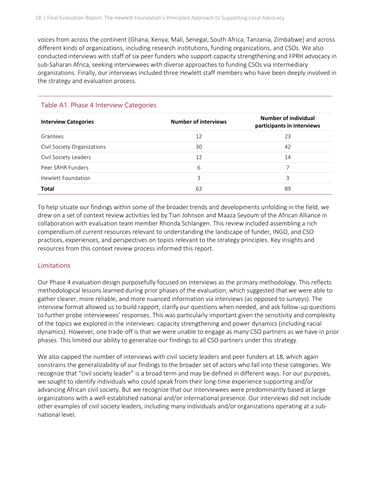voices from across the continent (Ghana, Kenya, Mali, Senegal, South Africa, Tanzania, Zimbabwe) and across different kinds of organizations, including research institutions, funding organizations, and CSOs. We also conducted interviews with staff of six peer funders who support capacity strengthening and FPRH advocacy in sub-Saharan Africa, seeking interviewees with diverse approaches to funding CSOs via intermediary organizations. Finally, our interviews included three Hewlett staff members who have been deeply involved in the strategy and evaluation process.

| <b>Interview Categories</b> | <b>Number of interviews</b> | Number of individual<br>participants in interviews |
|-----------------------------|-----------------------------|----------------------------------------------------|
| Grantees                    | 12                          | 23                                                 |
| Civil Society Organizations | 30                          | 42                                                 |
| Civil Society Leaders       | 12                          | 14                                                 |
| Peer SRHR Funders           | 6                           |                                                    |
| Hewlett Foundation          | 3                           | 3                                                  |
| <b>Total</b>                | 63                          | 89                                                 |

#### Table A1. Phase 4 Interview Categories

To help situate our findings within some of the broader trends and developments unfolding in the field, we drew on a set of context review activities led by Tian Johnson and Maaza Seyoum of the African Alliance in collaboration with evaluation team member Rhonda Schlangen. This review included assembling a rich compendium of current resources relevant to understanding the landscape of funder, INGO, and CSO practices, experiences, and perspectives on topics relevant to the strategy principles. Key insights and resources from this context review process informed this report.

#### **Limitations**

Our Phase 4 evaluation design purposefully focused on interviews as the primary methodology. This reflects methodological lessons learned during prior phases of the evaluation, which suggested that we were able to gather clearer, more reliable, and more nuanced information via interviews (as opposed to surveys). The interview format allowed us to build rapport, clarify our questions when needed, and ask follow-up questions to further probe interviewees' responses. This was particularly important given the sensitivity and complexity of the topics we explored in the interviews: capacity strengthening and power dynamics (including racial dynamics). However, one trade-off is that we were unable to engage as many CSO partners as we have in prior phases. This limited our ability to generalize our findings to all CSO partners under this strategy.

We also capped the number of interviews with civil society leaders and peer funders at 18, which again constrains the generalizability of our findings to the broader set of actors who fall into these categories. We recognize that "civil society leader" is a broad term and may be defined in different ways. For our purposes, we sought to identify individuals who could speak from their long-time experience supporting and/or advancing African civil society. But we recognize that our interviewees were predominantly based at large organizations with a well-established national and/or international presence. Our interviews did not include other examples of civil society leaders, including many individuals and/or organizations operating at a subnational level.